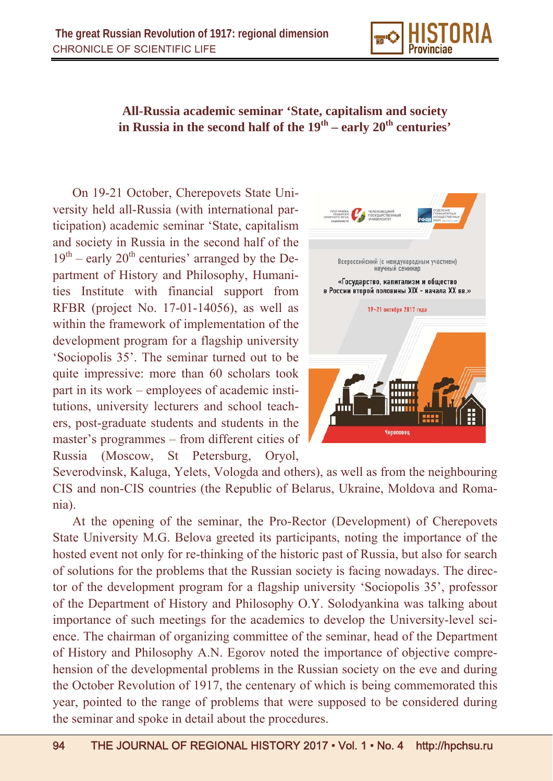

## **All-Russia academic seminar 'State, capitalism and society**  in Russia in the second half of the  $19<sup>th</sup>$  – early  $20<sup>th</sup>$  centuries'

On 19-21 October, Cherepovets State University held all-Russia (with international participation) academic seminar 'State, capitalism and society in Russia in the second half of the  $19<sup>th</sup>$  – early 20<sup>th</sup> centuries' arranged by the Department of History and Philosophy, Humanities Institute with financial support from RFBR (project No. 17-01-14056), as well as within the framework of implementation of the development program for a flagship university 'Sociopolis 35'. The seminar turned out to be quite impressive: more than 60 scholars took part in its work – employees of academic institutions, university lecturers and school teachers, post-graduate students and students in the master's programmes – from different cities of Russia (Moscow, St Petersburg, Oryol,



Severodvinsk, Kaluga, Yelets, Vologda and others), as well as from the neighbouring CIS and non-CIS countries (the Republic of Belarus, Ukraine, Moldova and Romania).

At the opening of the seminar, the Pro-Rector (Development) of Cherepovets State University M.G. Belova greeted its participants, noting the importance of the hosted event not only for re-thinking of the historic past of Russia, but also for search of solutions for the problems that the Russian society is facing nowadays. The director of the development program for a flagship university 'Sociopolis 35', professor of the Department of History and Philosophy O.Y. Solodyankina was talking about importance of such meetings for the academics to develop the University-level science. The chairman of organizing committee of the seminar, head of the Department of History and Philosophy A.N. Egorov noted the importance of objective comprehension of the developmental problems in the Russian society on the eve and during the October Revolution of 1917, the centenary of which is being commemorated this year, pointed to the range of problems that were supposed to be considered during the seminar and spoke in detail about the procedures.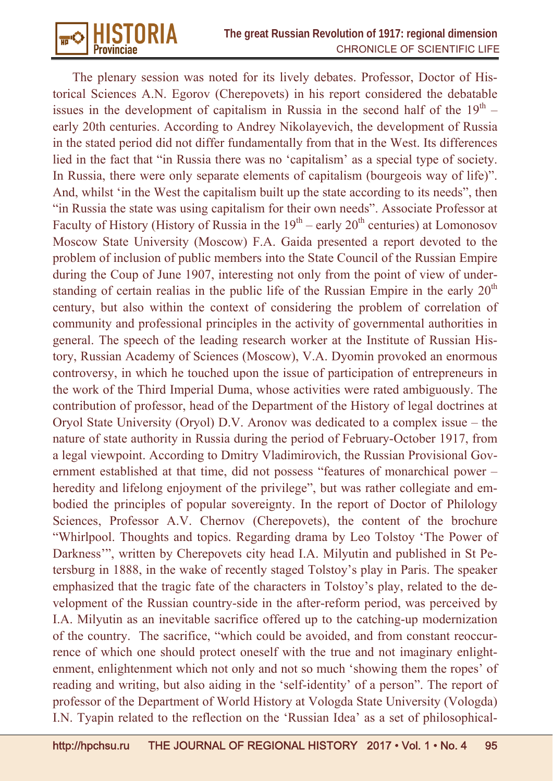

The plenary session was noted for its lively debates. Professor, Doctor of Historical Sciences A.N. Egorov (Cherepovets) in his report considered the debatable issues in the development of capitalism in Russia in the second half of the  $19<sup>th</sup>$  – early 20th centuries. According to Andrey Nikolayevich, the development of Russia in the stated period did not differ fundamentally from that in the West. Its differences lied in the fact that "in Russia there was no 'capitalism' as a special type of society. In Russia, there were only separate elements of capitalism (bourgeois way of life)". And, whilst 'in the West the capitalism built up the state according to its needs", then "in Russia the state was using capitalism for their own needs". Associate Professor at Faculty of History (History of Russia in the  $19<sup>th</sup>$  – early  $20<sup>th</sup>$  centuries) at Lomonosov Moscow State University (Moscow) F.A. Gaida presented a report devoted to the problem of inclusion of public members into the State Council of the Russian Empire during the Coup of June 1907, interesting not only from the point of view of understanding of certain realias in the public life of the Russian Empire in the early  $20<sup>th</sup>$ century, but also within the context of considering the problem of correlation of community and professional principles in the activity of governmental authorities in general. The speech of the leading research worker at the Institute of Russian History, Russian Academy of Sciences (Moscow), V.A. Dyomin provoked an enormous controversy, in which he touched upon the issue of participation of entrepreneurs in the work of the Third Imperial Duma, whose activities were rated ambiguously. The contribution of professor, head of the Department of the History of legal doctrines at Oryol State University (Oryol) D.V. Aronov was dedicated to a complex issue – the nature of state authority in Russia during the period of February-October 1917, from a legal viewpoint. According to Dmitry Vladimirovich, the Russian Provisional Government established at that time, did not possess "features of monarchical power – heredity and lifelong enjoyment of the privilege", but was rather collegiate and embodied the principles of popular sovereignty. In the report of Doctor of Philology Sciences, Professor A.V. Chernov (Cherepovets), the content of the brochure "Whirlpool. Thoughts and topics. Regarding drama by Leo Tolstoy 'The Power of Darkness'", written by Cherepovets city head I.A. Milyutin and published in St Petersburg in 1888, in the wake of recently staged Tolstoy's play in Paris. The speaker emphasized that the tragic fate of the characters in Tolstoy's play, related to the development of the Russian country-side in the after-reform period, was perceived by I.A. Milyutin as an inevitable sacrifice offered up to the catching-up modernization of the country. The sacrifice, "which could be avoided, and from constant reoccurrence of which one should protect oneself with the true and not imaginary enlightenment, enlightenment which not only and not so much 'showing them the ropes' of reading and writing, but also aiding in the 'self-identity' of a person". The report of professor of the Department of World History at Vologda State University (Vologda) I.N. Tyapin related to the reflection on the 'Russian Idea' as a set of philosophical-